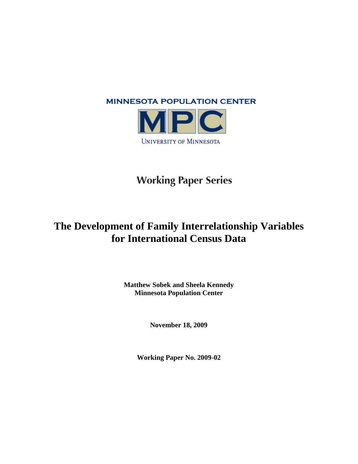

**UNIVERSITY OF MINNESOTA** 

# **Working Paper Series**

# **The Development of Family Interrelationship Variables for International Census Data**

**Matthew Sobek and Sheela Kennedy Minnesota Population Center**

**November 18, 2009**

**Working Paper No. 2009-02**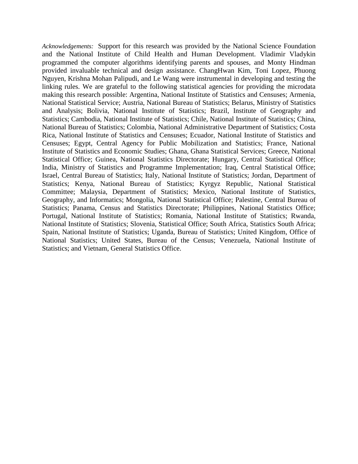*Acknowledgements:* Support for this research was provided by the National Science Foundation and the National Institute of Child Health and Human Development. Vladimir Vladykin programmed the computer algorithms identifying parents and spouses, and Monty Hindman provided invaluable technical and design assistance. ChangHwan Kim, Toni Lopez, Phuong Nguyen, Krishna Mohan Palipudi, and Le Wang were instrumental in developing and testing the linking rules. We are grateful to the following statistical agencies for providing the microdata making this research possible: Argentina, National Institute of Statistics and Censuses; Armenia, National Statistical Service; Austria, National Bureau of Statistics; Belarus, Ministry of Statistics and Analysis; Bolivia, National Institute of Statistics; Brazil, Institute of Geography and Statistics; Cambodia, National Institute of Statistics; Chile, National Institute of Statistics; China, National Bureau of Statistics; Colombia, National Administrative Department of Statistics; Costa Rica, National Institute of Statistics and Censuses; Ecuador, National Institute of Statistics and Censuses; Egypt, Central Agency for Public Mobilization and Statistics; France, National Institute of Statistics and Economic Studies; Ghana, Ghana Statistical Services; Greece, National Statistical Office; Guinea, National Statistics Directorate; Hungary, Central Statistical Office; India, Ministry of Statistics and Programme Implementation; Iraq, Central Statistical Office; Israel, Central Bureau of Statistics; Italy, National Institute of Statistics; Jordan, Department of Statistics; Kenya, National Bureau of Statistics; Kyrgyz Republic, National Statistical Committee; Malaysia, Department of Statistics; Mexico, National Institute of Statistics, Geography, and Informatics; Mongolia, National Statistical Office; Palestine, Central Bureau of Statistics; Panama, Census and Statistics Directorate; Philippines, National Statistics Office; Portugal, National Institute of Statistics; Romania, National Institute of Statistics; Rwanda, National Institute of Statistics; Slovenia, Statistical Office; South Africa, Statistics South Africa; Spain, National Institute of Statistics; Uganda, Bureau of Statistics; United Kingdom, Office of National Statistics; United States, Bureau of the Census; Venezuela, National Institute of Statistics; and Vietnam, General Statistics Office.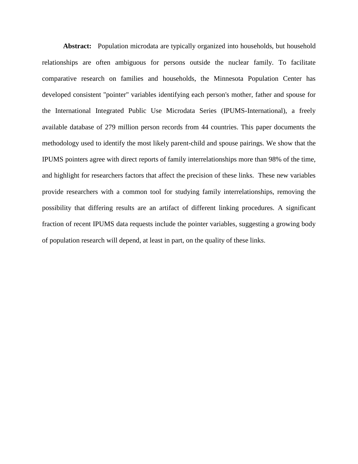Abstract: Population microdata are typically organized into households, but household relationships are often ambiguous for persons outside the nuclear family. To facilitate comparative research on families and households, the Minnesota Population Center has developed consistent "pointer" variables identifying each person's mother, father and spouse for the International Integrated Public Use Microdata Series (IPUMS-International), a freely available database of 279 million person records from 44 countries. This paper documents the methodology used to identify the most likely parent-child and spouse pairings. We show that the IPUMS pointers agree with direct reports of family interrelationships more than 98% of the time, and highlight for researchers factors that affect the precision of these links. These new variables provide researchers with a common tool for studying family interrelationships, removing the possibility that differing results are an artifact of different linking procedures. A significant fraction of recent IPUMS data requests include the pointer variables, suggesting a growing body of population research will depend, at least in part, on the quality of these links.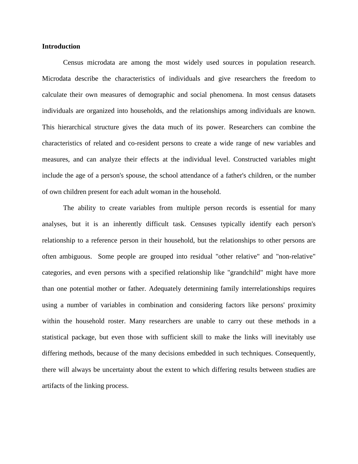### **Introduction**

Census microdata are among the most widely used sources in population research. Microdata describe the characteristics of individuals and give researchers the freedom to calculate their own measures of demographic and social phenomena. In most census datasets individuals are organized into households, and the relationships among individuals are known. This hierarchical structure gives the data much of its power. Researchers can combine the characteristics of related and co-resident persons to create a wide range of new variables and measures, and can analyze their effects at the individual level. Constructed variables might include the age of a person's spouse, the school attendance of a father's children, or the number of own children present for each adult woman in the household.

The ability to create variables from multiple person records is essential for many analyses, but it is an inherently difficult task. Censuses typically identify each person's relationship to a reference person in their household, but the relationships to other persons are often ambiguous. Some people are grouped into residual "other relative" and "non-relative" categories, and even persons with a specified relationship like "grandchild" might have more than one potential mother or father. Adequately determining family interrelationships requires using a number of variables in combination and considering factors like persons' proximity within the household roster. Many researchers are unable to carry out these methods in a statistical package, but even those with sufficient skill to make the links will inevitably use differing methods, because of the many decisions embedded in such techniques. Consequently, there will always be uncertainty about the extent to which differing results between studies are artifacts of the linking process.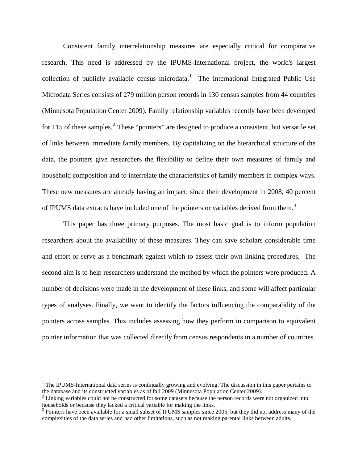Consistent family interrelationship measures are especially critical for comparative research. This need is addressed by the IPUMS-International project, the world's largest collection of publicly available census microdata.<sup>[1](#page-4-0)</sup> The International Integrated Public Use Microdata Series consists of 279 million person records in 130 census samples from 44 countries (Minnesota Population Center 2009). Family relationship variables recently have been developed for 115 of these samples.<sup>[2](#page-4-1)</sup> These "pointers" are designed to produce a consistent, but versatile set of links between immediate family members. By capitalizing on the hierarchical structure of the data, the pointers give researchers the flexibility to define their own measures of family and household composition and to interrelate the characteristics of family members in complex ways. These new measures are already having an impact: since their development in 2008, 40 percent of IPUMS data extracts have included one of the pointers or variables derived from them.<sup>[3](#page-4-2)</sup>

This paper has three primary purposes. The most basic goal is to inform population researchers about the availability of these measures. They can save scholars considerable time and effort or serve as a benchmark against which to assess their own linking procedures. The second aim is to help researchers understand the method by which the pointers were produced. A number of decisions were made in the development of these links, and some will affect particular types of analyses. Finally, we want to identify the factors influencing the comparability of the pointers across samples. This includes assessing how they perform in comparison to equivalent pointer information that was collected directly from census respondents in a number of countries.

<span id="page-4-0"></span><sup>&</sup>lt;sup>1</sup> The IPUMS-International data series is continually growing and evolving. The discussion in this paper pertains to the database and its constructed variables as of fall  $2009$  (Minnesota Population Center  $2009$ ).

<span id="page-4-1"></span> $1<sup>2</sup>$  Linking variables could not be constructed for some datasets because the person records were not organized into households or because they lacked a critical variable for making the links.

<span id="page-4-2"></span><sup>&</sup>lt;sup>3</sup> Pointers have been available for a small subset of IPUMS samples since 2005, but they did not address many of the complexities of the data series and had other limitations, such as not making parental links between adults.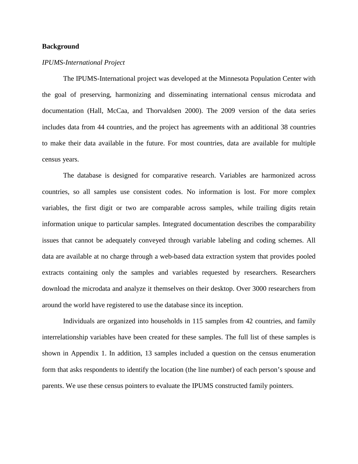# **Background**

# *IPUMS-International Project*

The IPUMS-International project was developed at the Minnesota Population Center with the goal of preserving, harmonizing and disseminating international census microdata and documentation (Hall, McCaa, and Thorvaldsen 2000). The 2009 version of the data series includes data from 44 countries, and the project has agreements with an additional 38 countries to make their data available in the future. For most countries, data are available for multiple census years.

The database is designed for comparative research. Variables are harmonized across countries, so all samples use consistent codes. No information is lost. For more complex variables, the first digit or two are comparable across samples, while trailing digits retain information unique to particular samples. Integrated documentation describes the comparability issues that cannot be adequately conveyed through variable labeling and coding schemes. All data are available at no charge through a web-based data extraction system that provides pooled extracts containing only the samples and variables requested by researchers. Researchers download the microdata and analyze it themselves on their desktop. Over 3000 researchers from around the world have registered to use the database since its inception.

Individuals are organized into households in 115 samples from 42 countries, and family interrelationship variables have been created for these samples. The full list of these samples is shown in Appendix 1. In addition, 13 samples included a question on the census enumeration form that asks respondents to identify the location (the line number) of each person's spouse and parents. We use these census pointers to evaluate the IPUMS constructed family pointers.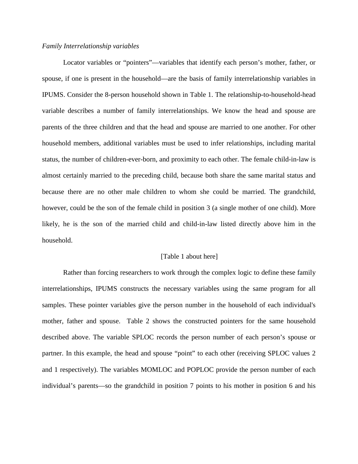#### *Family Interrelationship variables*

Locator variables or "pointers"—variables that identify each person's mother, father, or spouse, if one is present in the household—are the basis of family interrelationship variables in IPUMS. Consider the 8-person household shown in Table 1. The relationship-to-household-head variable describes a number of family interrelationships. We know the head and spouse are parents of the three children and that the head and spouse are married to one another. For other household members, additional variables must be used to infer relationships, including marital status, the number of children-ever-born, and proximity to each other. The female child-in-law is almost certainly married to the preceding child, because both share the same marital status and because there are no other male children to whom she could be married. The grandchild, however, could be the son of the female child in position 3 (a single mother of one child). More likely, he is the son of the married child and child-in-law listed directly above him in the household.

#### [Table 1 about here]

Rather than forcing researchers to work through the complex logic to define these family interrelationships, IPUMS constructs the necessary variables using the same program for all samples. These pointer variables give the person number in the household of each individual's mother, father and spouse. Table 2 shows the constructed pointers for the same household described above. The variable SPLOC records the person number of each person's spouse or partner. In this example, the head and spouse "point" to each other (receiving SPLOC values 2 and 1 respectively). The variables MOMLOC and POPLOC provide the person number of each individual's parents—so the grandchild in position 7 points to his mother in position 6 and his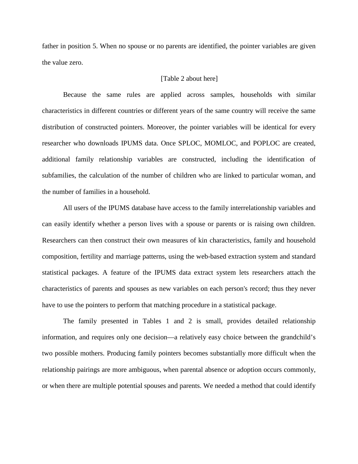father in position 5. When no spouse or no parents are identified, the pointer variables are given the value zero.

#### [Table 2 about here]

Because the same rules are applied across samples, households with similar characteristics in different countries or different years of the same country will receive the same distribution of constructed pointers. Moreover, the pointer variables will be identical for every researcher who downloads IPUMS data. Once SPLOC, MOMLOC, and POPLOC are created, additional family relationship variables are constructed, including the identification of subfamilies, the calculation of the number of children who are linked to particular woman, and the number of families in a household.

All users of the IPUMS database have access to the family interrelationship variables and can easily identify whether a person lives with a spouse or parents or is raising own children. Researchers can then construct their own measures of kin characteristics, family and household composition, fertility and marriage patterns, using the web-based extraction system and standard statistical packages. A feature of the IPUMS data extract system lets researchers attach the characteristics of parents and spouses as new variables on each person's record; thus they never have to use the pointers to perform that matching procedure in a statistical package.

The family presented in Tables 1 and 2 is small, provides detailed relationship information, and requires only one decision—a relatively easy choice between the grandchild's two possible mothers. Producing family pointers becomes substantially more difficult when the relationship pairings are more ambiguous, when parental absence or adoption occurs commonly, or when there are multiple potential spouses and parents. We needed a method that could identify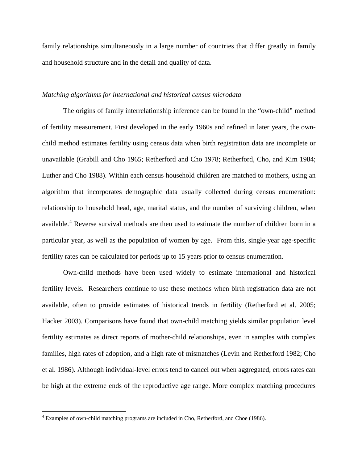family relationships simultaneously in a large number of countries that differ greatly in family and household structure and in the detail and quality of data.

# *Matching algorithms for international and historical census microdata*

The origins of family interrelationship inference can be found in the "own-child" method of fertility measurement. First developed in the early 1960s and refined in later years, the ownchild method estimates fertility using census data when birth registration data are incomplete or unavailable (Grabill and Cho 1965; Retherford and Cho 1978; Retherford, Cho, and Kim 1984; Luther and Cho 1988). Within each census household children are matched to mothers, using an algorithm that incorporates demographic data usually collected during census enumeration: relationship to household head, age, marital status, and the number of surviving children, when available. [4](#page-8-0) Reverse survival methods are then used to estimate the number of children born in a particular year, as well as the population of women by age. From this, single-year age-specific fertility rates can be calculated for periods up to 15 years prior to census enumeration.

Own-child methods have been used widely to estimate international and historical fertility levels. Researchers continue to use these methods when birth registration data are not available, often to provide estimates of historical trends in fertility (Retherford et al. 2005; Hacker 2003). Comparisons have found that own-child matching yields similar population level fertility estimates as direct reports of mother-child relationships, even in samples with complex families, high rates of adoption, and a high rate of mismatches (Levin and Retherford 1982; Cho et al. 1986). Although individual-level errors tend to cancel out when aggregated, errors rates can be high at the extreme ends of the reproductive age range. More complex matching procedures

<span id="page-8-0"></span><sup>&</sup>lt;sup>4</sup> Examples of own-child matching programs are included in Cho, Retherford, and Choe (1986).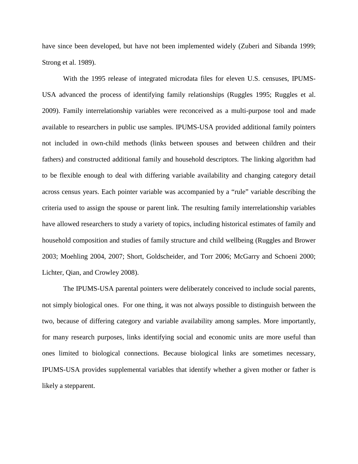have since been developed, but have not been implemented widely (Zuberi and Sibanda 1999; Strong et al. 1989).

With the 1995 release of integrated microdata files for eleven U.S. censuses, IPUMS-USA advanced the process of identifying family relationships (Ruggles 1995; Ruggles et al. 2009). Family interrelationship variables were reconceived as a multi-purpose tool and made available to researchers in public use samples. IPUMS-USA provided additional family pointers not included in own-child methods (links between spouses and between children and their fathers) and constructed additional family and household descriptors. The linking algorithm had to be flexible enough to deal with differing variable availability and changing category detail across census years. Each pointer variable was accompanied by a "rule" variable describing the criteria used to assign the spouse or parent link. The resulting family interrelationship variables have allowed researchers to study a variety of topics, including historical estimates of family and household composition and studies of family structure and child wellbeing (Ruggles and Brower 2003; Moehling 2004, 2007; Short, Goldscheider, and Torr 2006; McGarry and Schoeni 2000; Lichter, Qian, and Crowley 2008).

The IPUMS-USA parental pointers were deliberately conceived to include social parents, not simply biological ones. For one thing, it was not always possible to distinguish between the two, because of differing category and variable availability among samples. More importantly, for many research purposes, links identifying social and economic units are more useful than ones limited to biological connections. Because biological links are sometimes necessary, IPUMS-USA provides supplemental variables that identify whether a given mother or father is likely a stepparent.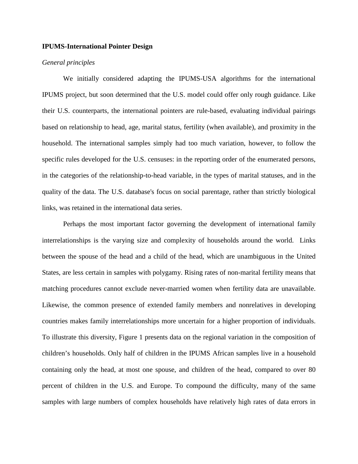# **IPUMS-International Pointer Design**

# *General principles*

We initially considered adapting the IPUMS-USA algorithms for the international IPUMS project, but soon determined that the U.S. model could offer only rough guidance. Like their U.S. counterparts, the international pointers are rule-based, evaluating individual pairings based on relationship to head, age, marital status, fertility (when available), and proximity in the household. The international samples simply had too much variation, however, to follow the specific rules developed for the U.S. censuses: in the reporting order of the enumerated persons, in the categories of the relationship-to-head variable, in the types of marital statuses, and in the quality of the data. The U.S. database's focus on social parentage, rather than strictly biological links, was retained in the international data series.

Perhaps the most important factor governing the development of international family interrelationships is the varying size and complexity of households around the world. Links between the spouse of the head and a child of the head, which are unambiguous in the United States, are less certain in samples with polygamy. Rising rates of non-marital fertility means that matching procedures cannot exclude never-married women when fertility data are unavailable. Likewise, the common presence of extended family members and nonrelatives in developing countries makes family interrelationships more uncertain for a higher proportion of individuals. To illustrate this diversity, Figure 1 presents data on the regional variation in the composition of children's households. Only half of children in the IPUMS African samples live in a household containing only the head, at most one spouse, and children of the head, compared to over 80 percent of children in the U.S. and Europe. To compound the difficulty, many of the same samples with large numbers of complex households have relatively high rates of data errors in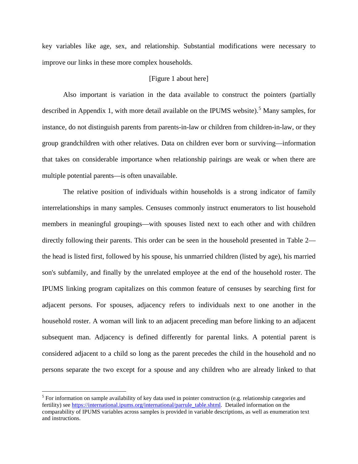key variables like age, sex, and relationship. Substantial modifications were necessary to improve our links in these more complex households.

# [Figure 1 about here]

Also important is variation in the data available to construct the pointers (partially described in Appendix 1, with more detail available on the IPUMS website).<sup>[5](#page-11-0)</sup> Many samples, for instance, do not distinguish parents from parents-in-law or children from children-in-law, or they group grandchildren with other relatives. Data on children ever born or surviving—information that takes on considerable importance when relationship pairings are weak or when there are multiple potential parents—is often unavailable.

The relative position of individuals within households is a strong indicator of family interrelationships in many samples. Censuses commonly instruct enumerators to list household members in meaningful groupings—with spouses listed next to each other and with children directly following their parents. This order can be seen in the household presented in Table 2 the head is listed first, followed by his spouse, his unmarried children (listed by age), his married son's subfamily, and finally by the unrelated employee at the end of the household roster. The IPUMS linking program capitalizes on this common feature of censuses by searching first for adjacent persons. For spouses, adjacency refers to individuals next to one another in the household roster. A woman will link to an adjacent preceding man before linking to an adjacent subsequent man. Adjacency is defined differently for parental links. A potential parent is considered adjacent to a child so long as the parent precedes the child in the household and no persons separate the two except for a spouse and any children who are already linked to that

<span id="page-11-0"></span><sup>&</sup>lt;sup>5</sup> For information on sample availability of key data used in pointer construction (e.g. relationship categories and fertility) see [https://international.ipums.org/international/parrule\\_table.shtml.](https://international.ipums.org/international/parrule_table.shtml) Detailed information on the comparability of IPUMS variables across samples is provided in variable descriptions, as well as enumeration text and instructions.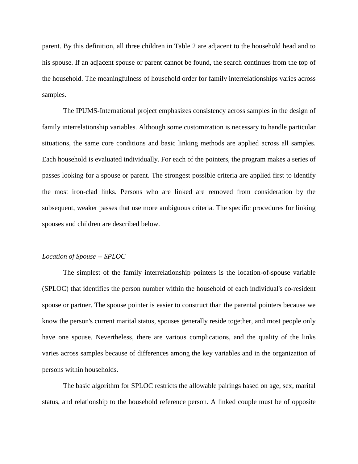parent. By this definition, all three children in Table 2 are adjacent to the household head and to his spouse. If an adjacent spouse or parent cannot be found, the search continues from the top of the household. The meaningfulness of household order for family interrelationships varies across samples.

The IPUMS-International project emphasizes consistency across samples in the design of family interrelationship variables. Although some customization is necessary to handle particular situations, the same core conditions and basic linking methods are applied across all samples. Each household is evaluated individually. For each of the pointers, the program makes a series of passes looking for a spouse or parent. The strongest possible criteria are applied first to identify the most iron-clad links. Persons who are linked are removed from consideration by the subsequent, weaker passes that use more ambiguous criteria. The specific procedures for linking spouses and children are described below.

#### *Location of Spouse -- SPLOC*

The simplest of the family interrelationship pointers is the location-of-spouse variable (SPLOC) that identifies the person number within the household of each individual's co-resident spouse or partner. The spouse pointer is easier to construct than the parental pointers because we know the person's current marital status, spouses generally reside together, and most people only have one spouse. Nevertheless, there are various complications, and the quality of the links varies across samples because of differences among the key variables and in the organization of persons within households.

The basic algorithm for SPLOC restricts the allowable pairings based on age, sex, marital status, and relationship to the household reference person. A linked couple must be of opposite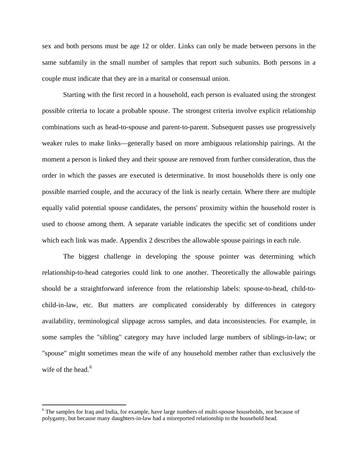sex and both persons must be age 12 or older. Links can only be made between persons in the same subfamily in the small number of samples that report such subunits. Both persons in a couple must indicate that they are in a marital or consensual union.

Starting with the first record in a household, each person is evaluated using the strongest possible criteria to locate a probable spouse. The strongest criteria involve explicit relationship combinations such as head-to-spouse and parent-to-parent. Subsequent passes use progressively weaker rules to make links—generally based on more ambiguous relationship pairings. At the moment a person is linked they and their spouse are removed from further consideration, thus the order in which the passes are executed is determinative. In most households there is only one possible married couple, and the accuracy of the link is nearly certain. Where there are multiple equally valid potential spouse candidates, the persons' proximity within the household roster is used to choose among them. A separate variable indicates the specific set of conditions under which each link was made. Appendix 2 describes the allowable spouse pairings in each rule.

The biggest challenge in developing the spouse pointer was determining which relationship-to-head categories could link to one another. Theoretically the allowable pairings should be a straightforward inference from the relationship labels: spouse-to-head, child-tochild-in-law, etc. But matters are complicated considerably by differences in category availability, terminological slippage across samples, and data inconsistencies. For example, in some samples the "sibling" category may have included large numbers of siblings-in-law; or "spouse" might sometimes mean the wife of any household member rather than exclusively the wife of the head. $6$ 

<span id="page-13-0"></span><sup>&</sup>lt;sup>6</sup> The samples for Iraq and India, for example, have large numbers of multi-spouse households, not because of polygamy, but because many daughters-in-law had a misreported relationship to the household head.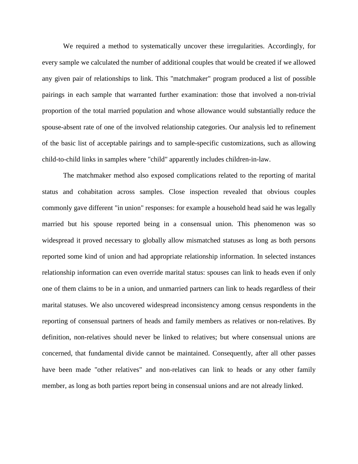We required a method to systematically uncover these irregularities. Accordingly, for every sample we calculated the number of additional couples that would be created if we allowed any given pair of relationships to link. This "matchmaker" program produced a list of possible pairings in each sample that warranted further examination: those that involved a non-trivial proportion of the total married population and whose allowance would substantially reduce the spouse-absent rate of one of the involved relationship categories. Our analysis led to refinement of the basic list of acceptable pairings and to sample-specific customizations, such as allowing child-to-child links in samples where "child" apparently includes children-in-law.

The matchmaker method also exposed complications related to the reporting of marital status and cohabitation across samples. Close inspection revealed that obvious couples commonly gave different "in union" responses: for example a household head said he was legally married but his spouse reported being in a consensual union. This phenomenon was so widespread it proved necessary to globally allow mismatched statuses as long as both persons reported some kind of union and had appropriate relationship information. In selected instances relationship information can even override marital status: spouses can link to heads even if only one of them claims to be in a union, and unmarried partners can link to heads regardless of their marital statuses. We also uncovered widespread inconsistency among census respondents in the reporting of consensual partners of heads and family members as relatives or non-relatives. By definition, non-relatives should never be linked to relatives; but where consensual unions are concerned, that fundamental divide cannot be maintained. Consequently, after all other passes have been made "other relatives" and non-relatives can link to heads or any other family member, as long as both parties report being in consensual unions and are not already linked.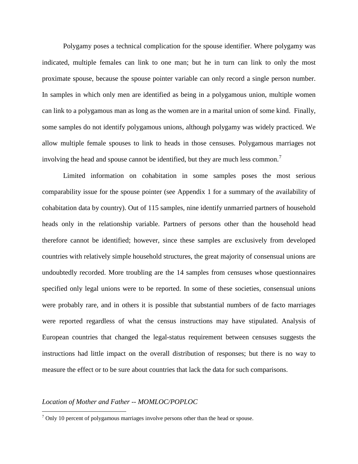Polygamy poses a technical complication for the spouse identifier. Where polygamy was indicated, multiple females can link to one man; but he in turn can link to only the most proximate spouse, because the spouse pointer variable can only record a single person number. In samples in which only men are identified as being in a polygamous union, multiple women can link to a polygamous man as long as the women are in a marital union of some kind. Finally, some samples do not identify polygamous unions, although polygamy was widely practiced. We allow multiple female spouses to link to heads in those censuses. Polygamous marriages not involving the head and spouse cannot be identified, but they are much less common.

Limited information on cohabitation in some samples poses the most serious comparability issue for the spouse pointer (see Appendix 1 for a summary of the availability of cohabitation data by country). Out of 115 samples, nine identify unmarried partners of household heads only in the relationship variable. Partners of persons other than the household head therefore cannot be identified; however, since these samples are exclusively from developed countries with relatively simple household structures, the great majority of consensual unions are undoubtedly recorded. More troubling are the 14 samples from censuses whose questionnaires specified only legal unions were to be reported. In some of these societies, consensual unions were probably rare, and in others it is possible that substantial numbers of de facto marriages were reported regardless of what the census instructions may have stipulated. Analysis of European countries that changed the legal-status requirement between censuses suggests the instructions had little impact on the overall distribution of responses; but there is no way to measure the effect or to be sure about countries that lack the data for such comparisons.

#### *Location of Mother and Father -- MOMLOC/POPLOC*

<span id="page-15-0"></span> $7$  Only 10 percent of polygamous marriages involve persons other than the head or spouse.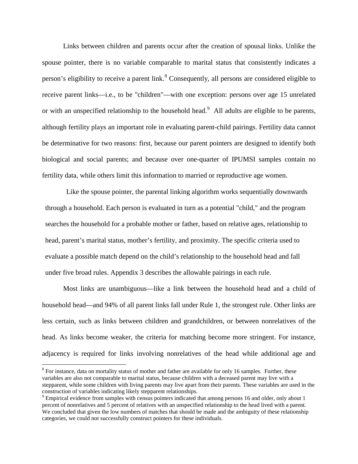Links between children and parents occur after the creation of spousal links. Unlike the spouse pointer, there is no variable comparable to marital status that consistently indicates a person's eligibility to receive a parent link.<sup>[8](#page-16-0)</sup> Consequently, all persons are considered eligible to receive parent links—i.e., to be "children"—with one exception: persons over age 15 unrelated or with an unspecified relationship to the household head.<sup>[9](#page-16-1)</sup> All adults are eligible to be parents, although fertility plays an important role in evaluating parent-child pairings. Fertility data cannot be determinative for two reasons: first, because our parent pointers are designed to identify both biological and social parents; and because over one-quarter of IPUMSI samples contain no fertility data, while others limit this information to married or reproductive age women.

Like the spouse pointer, the parental linking algorithm works sequentially downwards through a household. Each person is evaluated in turn as a potential "child," and the program searches the household for a probable mother or father, based on relative ages, relationship to head, parent's marital status, mother's fertility, and proximity. The specific criteria used to evaluate a possible match depend on the child's relationship to the household head and fall under five broad rules. Appendix 3 describes the allowable pairings in each rule.

Most links are unambiguous—like a link between the household head and a child of household head—and 94% of all parent links fall under Rule 1, the strongest rule. Other links are less certain, such as links between children and grandchildren, or between nonrelatives of the head. As links become weaker, the criteria for matching become more stringent. For instance, adjacency is required for links involving nonrelatives of the head while additional age and

<span id="page-16-0"></span><sup>&</sup>lt;sup>8</sup> For instance, data on mortality status of mother and father are available for only 16 samples. Further, these variables are also not comparable to marital status, because children with a deceased parent may live with a stepparent, while some children with living parents may live apart from their parents. These variables are used in the construction of variables indicating likely stepparent relationships. <sup>9</sup> Empirical evidence from samples with census pointers indicated that among persons 16 and older, only about 1

<span id="page-16-1"></span>percent of nonrelatives and 5 percent of relatives with an unspecified relationship to the head lived with a parent. We concluded that given the low numbers of matches that should be made and the ambiguity of these relationship categories, we could not successfully construct pointers for these individuals.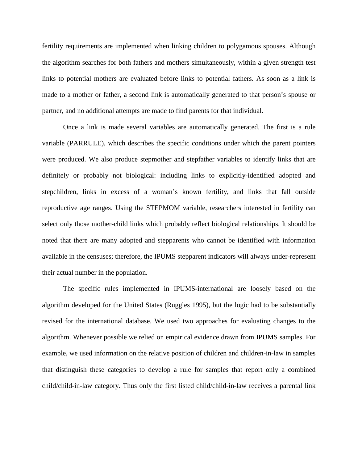fertility requirements are implemented when linking children to polygamous spouses. Although the algorithm searches for both fathers and mothers simultaneously, within a given strength test links to potential mothers are evaluated before links to potential fathers. As soon as a link is made to a mother or father, a second link is automatically generated to that person's spouse or partner, and no additional attempts are made to find parents for that individual.

Once a link is made several variables are automatically generated. The first is a rule variable (PARRULE), which describes the specific conditions under which the parent pointers were produced. We also produce stepmother and stepfather variables to identify links that are definitely or probably not biological: including links to explicitly-identified adopted and stepchildren, links in excess of a woman's known fertility, and links that fall outside reproductive age ranges. Using the STEPMOM variable, researchers interested in fertility can select only those mother-child links which probably reflect biological relationships. It should be noted that there are many adopted and stepparents who cannot be identified with information available in the censuses; therefore, the IPUMS stepparent indicators will always under-represent their actual number in the population.

The specific rules implemented in IPUMS-international are loosely based on the algorithm developed for the United States (Ruggles 1995), but the logic had to be substantially revised for the international database. We used two approaches for evaluating changes to the algorithm. Whenever possible we relied on empirical evidence drawn from IPUMS samples. For example, we used information on the relative position of children and children-in-law in samples that distinguish these categories to develop a rule for samples that report only a combined child/child-in-law category. Thus only the first listed child/child-in-law receives a parental link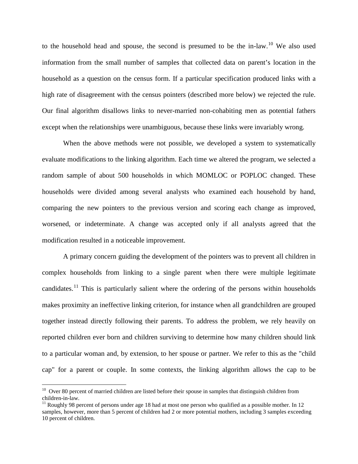to the household head and spouse, the second is presumed to be the in-law.<sup>[10](#page-18-0)</sup> We also used information from the small number of samples that collected data on parent's location in the household as a question on the census form. If a particular specification produced links with a high rate of disagreement with the census pointers (described more below) we rejected the rule. Our final algorithm disallows links to never-married non-cohabiting men as potential fathers except when the relationships were unambiguous, because these links were invariably wrong.

When the above methods were not possible, we developed a system to systematically evaluate modifications to the linking algorithm. Each time we altered the program, we selected a random sample of about 500 households in which MOMLOC or POPLOC changed. These households were divided among several analysts who examined each household by hand, comparing the new pointers to the previous version and scoring each change as improved, worsened, or indeterminate. A change was accepted only if all analysts agreed that the modification resulted in a noticeable improvement.

A primary concern guiding the development of the pointers was to prevent all children in complex households from linking to a single parent when there were multiple legitimate candidates.<sup>[11](#page-18-1)</sup> This is particularly salient where the ordering of the persons within households makes proximity an ineffective linking criterion, for instance when all grandchildren are grouped together instead directly following their parents. To address the problem, we rely heavily on reported children ever born and children surviving to determine how many children should link to a particular woman and, by extension, to her spouse or partner. We refer to this as the "child cap" for a parent or couple. In some contexts, the linking algorithm allows the cap to be

<span id="page-18-0"></span><sup>&</sup>lt;sup>10</sup> Over 80 percent of married children are listed before their spouse in samples that distinguish children from children-in-law.

<span id="page-18-1"></span> $11$  Roughly 98 percent of persons under age 18 had at most one person who qualified as a possible mother. In 12 samples, however, more than 5 percent of children had 2 or more potential mothers, including 3 samples exceeding 10 percent of children.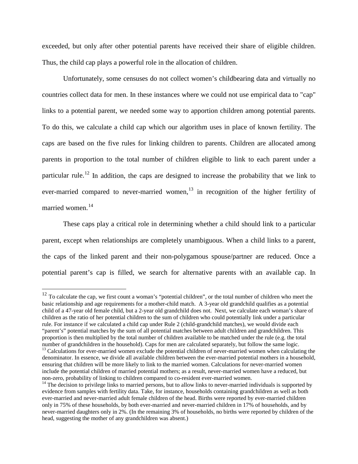exceeded, but only after other potential parents have received their share of eligible children. Thus, the child cap plays a powerful role in the allocation of children.

Unfortunately, some censuses do not collect women's childbearing data and virtually no countries collect data for men. In these instances where we could not use empirical data to "cap" links to a potential parent, we needed some way to apportion children among potential parents. To do this, we calculate a child cap which our algorithm uses in place of known fertility. The caps are based on the five rules for linking children to parents. Children are allocated among parents in proportion to the total number of children eligible to link to each parent under a particular rule.<sup>[12](#page-19-0)</sup> In addition, the caps are designed to increase the probability that we link to ever-married compared to never-married women, $13$  in recognition of the higher fertility of married women. [14](#page-19-2)

These caps play a critical role in determining whether a child should link to a particular parent, except when relationships are completely unambiguous. When a child links to a parent, the caps of the linked parent and their non-polygamous spouse/partner are reduced. Once a potential parent's cap is filled, we search for alternative parents with an available cap. In

<span id="page-19-0"></span> $12$  To calculate the cap, we first count a woman's "potential children", or the total number of children who meet the basic relationship and age requirements for a mother-child match. A 3-year old grandchild qualifies as a potential child of a 47-year old female child, but a 2-year old grandchild does not. Next, we calculate each woman's share of children as the ratio of her potential children to the sum of children who could potentially link under a particular rule. For instance if we calculated a child cap under Rule 2 (child-grandchild matches), we would divide each "parent's" potential matches by the sum of all potential matches between adult children and grandchildren. This proportion is then multiplied by the total number of children available to be matched under the rule (e.g. the total number of grandchildren in the household). Caps for men are calculated separately, but follow the same lo

<span id="page-19-1"></span> $13$  Calculations for ever-married women exclude the potential children of never-married women when calculating the denominator. In essence, we divide all available children between the ever-married potential mothers in a household, ensuring that children will be more likely to link to the married women. Calculations for never-married women include the potential children of married potential mothers; as a result, never-married women have a reduced, but<br>non-zero, probability of linking to children compared to co-resident ever-married women.

<span id="page-19-2"></span> $14$  The decision to privilege links to married persons, but to allow links to never-married individuals is supported by evidence from samples with fertility data. Take, for instance, households containing grandchildren as well as both ever-married and never-married adult female children of the head. Births were reported by ever-married children only in 75% of these households, by both ever-married and never-married children in 17% of households, and by never-married daughters only in 2%. (In the remaining 3% of households, no births were reported by children of the head, suggesting the mother of any grandchildren was absent.)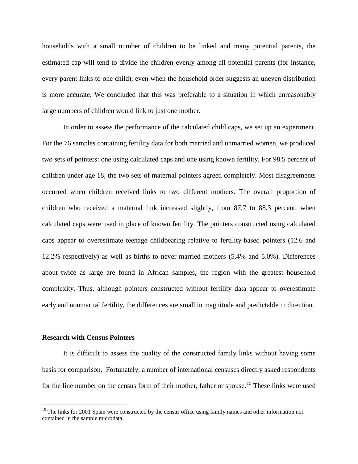households with a small number of children to be linked and many potential parents, the estimated cap will tend to divide the children evenly among all potential parents (for instance, every parent links to one child), even when the household order suggests an uneven distribution is more accurate. We concluded that this was preferable to a situation in which unreasonably large numbers of children would link to just one mother.

In order to assess the performance of the calculated child caps, we set up an experiment. For the 76 samples containing fertility data for both married and unmarried women, we produced two sets of pointers: one using calculated caps and one using known fertility. For 98.5 percent of children under age 18, the two sets of maternal pointers agreed completely. Most disagreements occurred when children received links to two different mothers. The overall proportion of children who received a maternal link increased slightly, from 87.7 to 88.3 percent, when calculated caps were used in place of known fertility. The pointers constructed using calculated caps appear to overestimate teenage childbearing relative to fertility-based pointers (12.6 and 12.2% respectively) as well as births to never-married mothers (5.4% and 5.0%). Differences about twice as large are found in African samples, the region with the greatest household complexity. Thus, although pointers constructed without fertility data appear to overestimate early and nonmarital fertility, the differences are small in magnitude and predictable in direction.

#### **Research with Census Pointers**

It is difficult to assess the quality of the constructed family links without having some basis for comparison. Fortunately, a number of international censuses directly asked respondents for the line number on the census form of their mother, father or spouse.<sup>[15](#page-20-0)</sup> These links were used

<span id="page-20-0"></span><sup>&</sup>lt;sup>15</sup> The links for 2001 Spain were constructed by the census office using family names and other information not contained in the sample microdata.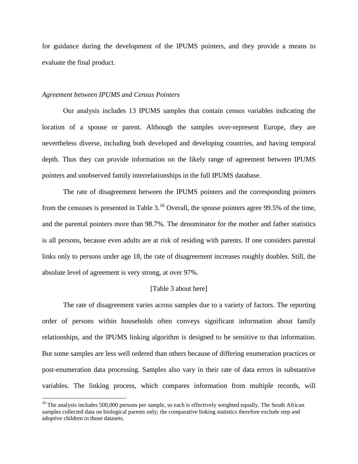for guidance during the development of the IPUMS pointers, and they provide a means to evaluate the final product.

#### *Agreement between IPUMS and Census Pointers*

Our analysis includes 13 IPUMS samples that contain census variables indicating the location of a spouse or parent. Although the samples over-represent Europe, they are nevertheless diverse, including both developed and developing countries, and having temporal depth. Thus they can provide information on the likely range of agreement between IPUMS pointers and unobserved family interrelationships in the full IPUMS database.

The rate of disagreement between the IPUMS pointers and the corresponding pointers from the censuses is presented in Table  $3<sup>16</sup>$  $3<sup>16</sup>$  $3<sup>16</sup>$  Overall, the spouse pointers agree 99.5% of the time, and the parental pointers more than 98.7%. The denominator for the mother and father statistics is all persons, because even adults are at risk of residing with parents. If one considers parental links only to persons under age 18, the rate of disagreement increases roughly doubles. Still, the absolute level of agreement is very strong, at over 97%.

#### [Table 3 about here]

The rate of disagreement varies across samples due to a variety of factors. The reporting order of persons within households often conveys significant information about family relationships, and the IPUMS linking algorithm is designed to be sensitive to that information. But some samples are less well ordered than others because of differing enumeration practices or post-enumeration data processing. Samples also vary in their rate of data errors in substantive variables. The linking process, which compares information from multiple records, will

<span id="page-21-0"></span> $16$  The analysis includes 500,000 persons per sample, so each is effectively weighted equally. The South African samples collected data on biological parents only; the comparative linking statistics therefore exclude step and adoptive children in those datasets.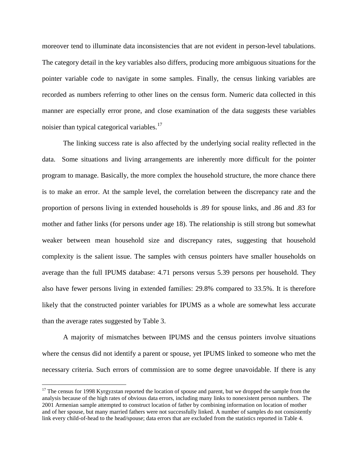moreover tend to illuminate data inconsistencies that are not evident in person-level tabulations. The category detail in the key variables also differs, producing more ambiguous situations for the pointer variable code to navigate in some samples. Finally, the census linking variables are recorded as numbers referring to other lines on the census form. Numeric data collected in this manner are especially error prone, and close examination of the data suggests these variables noisier than typical categorical variables.<sup>[17](#page-22-0)</sup>

The linking success rate is also affected by the underlying social reality reflected in the data. Some situations and living arrangements are inherently more difficult for the pointer program to manage. Basically, the more complex the household structure, the more chance there is to make an error. At the sample level, the correlation between the discrepancy rate and the proportion of persons living in extended households is .89 for spouse links, and .86 and .83 for mother and father links (for persons under age 18). The relationship is still strong but somewhat weaker between mean household size and discrepancy rates, suggesting that household complexity is the salient issue. The samples with census pointers have smaller households on average than the full IPUMS database: 4.71 persons versus 5.39 persons per household. They also have fewer persons living in extended families: 29.8% compared to 33.5%. It is therefore likely that the constructed pointer variables for IPUMS as a whole are somewhat less accurate than the average rates suggested by Table 3.

A majority of mismatches between IPUMS and the census pointers involve situations where the census did not identify a parent or spouse, yet IPUMS linked to someone who met the necessary criteria. Such errors of commission are to some degree unavoidable. If there is any

<span id="page-22-0"></span> $17$  The census for 1998 Kyrgyzstan reported the location of spouse and parent, but we dropped the sample from the analysis because of the high rates of obvious data errors, including many links to nonexistent person numbers. The 2001 Armenian sample attempted to construct location of father by combining information on location of mother and of her spouse, but many married fathers were not successfully linked. A number of samples do not consistently link every child-of-head to the head/spouse; data errors that are excluded from the statistics reported in Table 4.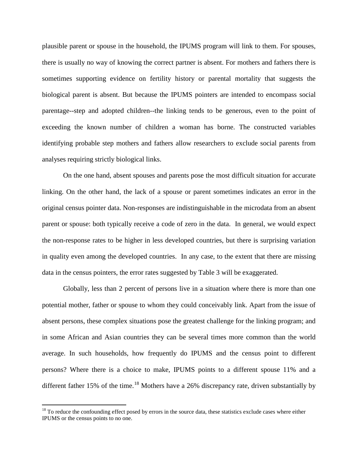plausible parent or spouse in the household, the IPUMS program will link to them. For spouses, there is usually no way of knowing the correct partner is absent. For mothers and fathers there is sometimes supporting evidence on fertility history or parental mortality that suggests the biological parent is absent. But because the IPUMS pointers are intended to encompass social parentage--step and adopted children--the linking tends to be generous, even to the point of exceeding the known number of children a woman has borne. The constructed variables identifying probable step mothers and fathers allow researchers to exclude social parents from analyses requiring strictly biological links.

On the one hand, absent spouses and parents pose the most difficult situation for accurate linking. On the other hand, the lack of a spouse or parent sometimes indicates an error in the original census pointer data. Non-responses are indistinguishable in the microdata from an absent parent or spouse: both typically receive a code of zero in the data. In general, we would expect the non-response rates to be higher in less developed countries, but there is surprising variation in quality even among the developed countries. In any case, to the extent that there are missing data in the census pointers, the error rates suggested by Table 3 will be exaggerated.

Globally, less than 2 percent of persons live in a situation where there is more than one potential mother, father or spouse to whom they could conceivably link. Apart from the issue of absent persons, these complex situations pose the greatest challenge for the linking program; and in some African and Asian countries they can be several times more common than the world average. In such households, how frequently do IPUMS and the census point to different persons? Where there is a choice to make, IPUMS points to a different spouse 11% and a different father 15% of the time.<sup>[18](#page-23-0)</sup> Mothers have a 26% discrepancy rate, driven substantially by

<span id="page-23-0"></span> $18$  To reduce the confounding effect posed by errors in the source data, these statistics exclude cases where either IPUMS or the census points to no one.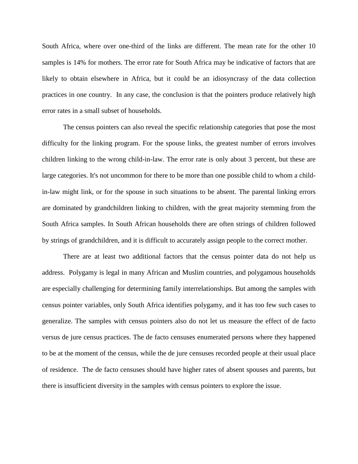South Africa, where over one-third of the links are different. The mean rate for the other 10 samples is 14% for mothers. The error rate for South Africa may be indicative of factors that are likely to obtain elsewhere in Africa, but it could be an idiosyncrasy of the data collection practices in one country. In any case, the conclusion is that the pointers produce relatively high error rates in a small subset of households.

The census pointers can also reveal the specific relationship categories that pose the most difficulty for the linking program. For the spouse links, the greatest number of errors involves children linking to the wrong child-in-law. The error rate is only about 3 percent, but these are large categories. It's not uncommon for there to be more than one possible child to whom a childin-law might link, or for the spouse in such situations to be absent. The parental linking errors are dominated by grandchildren linking to children, with the great majority stemming from the South Africa samples. In South African households there are often strings of children followed by strings of grandchildren, and it is difficult to accurately assign people to the correct mother.

There are at least two additional factors that the census pointer data do not help us address. Polygamy is legal in many African and Muslim countries, and polygamous households are especially challenging for determining family interrelationships. But among the samples with census pointer variables, only South Africa identifies polygamy, and it has too few such cases to generalize. The samples with census pointers also do not let us measure the effect of de facto versus de jure census practices. The de facto censuses enumerated persons where they happened to be at the moment of the census, while the de jure censuses recorded people at their usual place of residence. The de facto censuses should have higher rates of absent spouses and parents, but there is insufficient diversity in the samples with census pointers to explore the issue.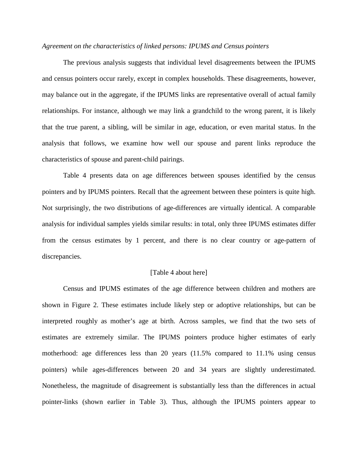## *Agreement on the characteristics of linked persons: IPUMS and Census pointers*

The previous analysis suggests that individual level disagreements between the IPUMS and census pointers occur rarely, except in complex households. These disagreements, however, may balance out in the aggregate, if the IPUMS links are representative overall of actual family relationships. For instance, although we may link a grandchild to the wrong parent, it is likely that the true parent, a sibling, will be similar in age, education, or even marital status. In the analysis that follows, we examine how well our spouse and parent links reproduce the characteristics of spouse and parent-child pairings.

Table 4 presents data on age differences between spouses identified by the census pointers and by IPUMS pointers. Recall that the agreement between these pointers is quite high. Not surprisingly, the two distributions of age-differences are virtually identical. A comparable analysis for individual samples yields similar results: in total, only three IPUMS estimates differ from the census estimates by 1 percent, and there is no clear country or age-pattern of discrepancies.

### [Table 4 about here]

Census and IPUMS estimates of the age difference between children and mothers are shown in Figure 2. These estimates include likely step or adoptive relationships, but can be interpreted roughly as mother's age at birth. Across samples, we find that the two sets of estimates are extremely similar. The IPUMS pointers produce higher estimates of early motherhood: age differences less than 20 years (11.5% compared to 11.1% using census pointers) while ages-differences between 20 and 34 years are slightly underestimated. Nonetheless, the magnitude of disagreement is substantially less than the differences in actual pointer-links (shown earlier in Table 3). Thus, although the IPUMS pointers appear to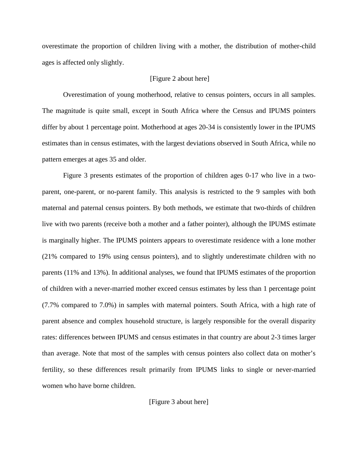overestimate the proportion of children living with a mother, the distribution of mother-child ages is affected only slightly.

# [Figure 2 about here]

Overestimation of young motherhood, relative to census pointers, occurs in all samples. The magnitude is quite small, except in South Africa where the Census and IPUMS pointers differ by about 1 percentage point. Motherhood at ages 20-34 is consistently lower in the IPUMS estimates than in census estimates, with the largest deviations observed in South Africa, while no pattern emerges at ages 35 and older.

Figure 3 presents estimates of the proportion of children ages 0-17 who live in a twoparent, one-parent, or no-parent family. This analysis is restricted to the 9 samples with both maternal and paternal census pointers. By both methods, we estimate that two-thirds of children live with two parents (receive both a mother and a father pointer), although the IPUMS estimate is marginally higher. The IPUMS pointers appears to overestimate residence with a lone mother (21% compared to 19% using census pointers), and to slightly underestimate children with no parents (11% and 13%). In additional analyses, we found that IPUMS estimates of the proportion of children with a never-married mother exceed census estimates by less than 1 percentage point (7.7% compared to 7.0%) in samples with maternal pointers. South Africa, with a high rate of parent absence and complex household structure, is largely responsible for the overall disparity rates: differences between IPUMS and census estimates in that country are about 2-3 times larger than average. Note that most of the samples with census pointers also collect data on mother's fertility, so these differences result primarily from IPUMS links to single or never-married women who have borne children.

[Figure 3 about here]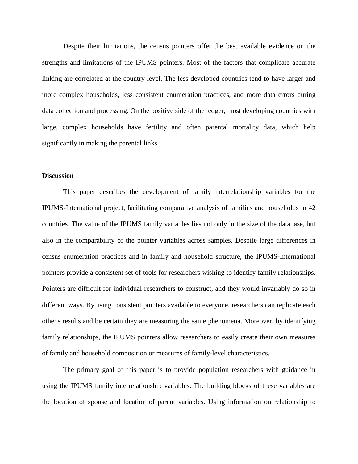Despite their limitations, the census pointers offer the best available evidence on the strengths and limitations of the IPUMS pointers. Most of the factors that complicate accurate linking are correlated at the country level. The less developed countries tend to have larger and more complex households, less consistent enumeration practices, and more data errors during data collection and processing. On the positive side of the ledger, most developing countries with large, complex households have fertility and often parental mortality data, which help significantly in making the parental links.

# **Discussion**

This paper describes the development of family interrelationship variables for the IPUMS-International project, facilitating comparative analysis of families and households in 42 countries. The value of the IPUMS family variables lies not only in the size of the database, but also in the comparability of the pointer variables across samples. Despite large differences in census enumeration practices and in family and household structure, the IPUMS-International pointers provide a consistent set of tools for researchers wishing to identify family relationships. Pointers are difficult for individual researchers to construct, and they would invariably do so in different ways. By using consistent pointers available to everyone, researchers can replicate each other's results and be certain they are measuring the same phenomena. Moreover, by identifying family relationships, the IPUMS pointers allow researchers to easily create their own measures of family and household composition or measures of family-level characteristics.

The primary goal of this paper is to provide population researchers with guidance in using the IPUMS family interrelationship variables. The building blocks of these variables are the location of spouse and location of parent variables. Using information on relationship to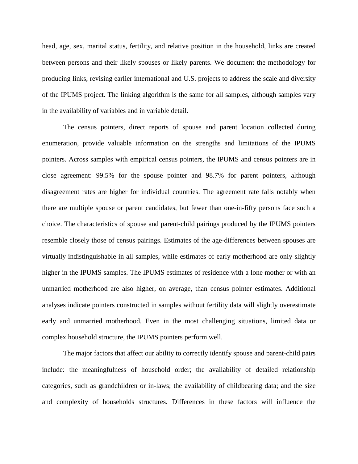head, age, sex, marital status, fertility, and relative position in the household, links are created between persons and their likely spouses or likely parents. We document the methodology for producing links, revising earlier international and U.S. projects to address the scale and diversity of the IPUMS project. The linking algorithm is the same for all samples, although samples vary in the availability of variables and in variable detail.

The census pointers, direct reports of spouse and parent location collected during enumeration, provide valuable information on the strengths and limitations of the IPUMS pointers. Across samples with empirical census pointers, the IPUMS and census pointers are in close agreement: 99.5% for the spouse pointer and 98.7% for parent pointers, although disagreement rates are higher for individual countries. The agreement rate falls notably when there are multiple spouse or parent candidates, but fewer than one-in-fifty persons face such a choice. The characteristics of spouse and parent-child pairings produced by the IPUMS pointers resemble closely those of census pairings. Estimates of the age-differences between spouses are virtually indistinguishable in all samples, while estimates of early motherhood are only slightly higher in the IPUMS samples. The IPUMS estimates of residence with a lone mother or with an unmarried motherhood are also higher, on average, than census pointer estimates. Additional analyses indicate pointers constructed in samples without fertility data will slightly overestimate early and unmarried motherhood. Even in the most challenging situations, limited data or complex household structure, the IPUMS pointers perform well.

The major factors that affect our ability to correctly identify spouse and parent-child pairs include: the meaningfulness of household order; the availability of detailed relationship categories, such as grandchildren or in-laws; the availability of childbearing data; and the size and complexity of households structures. Differences in these factors will influence the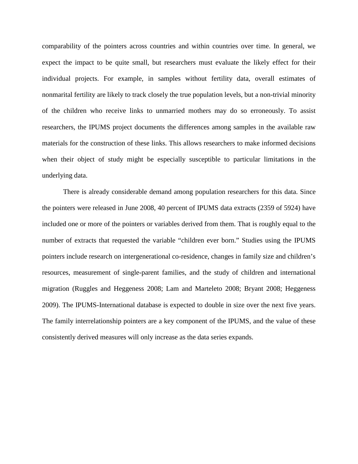comparability of the pointers across countries and within countries over time. In general, we expect the impact to be quite small, but researchers must evaluate the likely effect for their individual projects. For example, in samples without fertility data, overall estimates of nonmarital fertility are likely to track closely the true population levels, but a non-trivial minority of the children who receive links to unmarried mothers may do so erroneously. To assist researchers, the IPUMS project documents the differences among samples in the available raw materials for the construction of these links. This allows researchers to make informed decisions when their object of study might be especially susceptible to particular limitations in the underlying data.

There is already considerable demand among population researchers for this data. Since the pointers were released in June 2008, 40 percent of IPUMS data extracts (2359 of 5924) have included one or more of the pointers or variables derived from them. That is roughly equal to the number of extracts that requested the variable "children ever born." Studies using the IPUMS pointers include research on intergenerational co-residence, changes in family size and children's resources, measurement of single-parent families, and the study of children and international migration (Ruggles and Heggeness 2008; Lam and Marteleto 2008; Bryant 2008; Heggeness 2009). The IPUMS-International database is expected to double in size over the next five years. The family interrelationship pointers are a key component of the IPUMS, and the value of these consistently derived measures will only increase as the data series expands.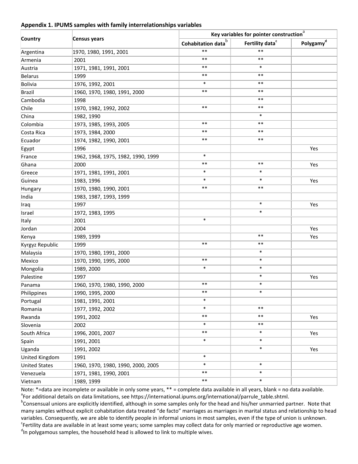#### **Appendix 1. IPUMS samples with family interrelationships variables**

| Country              |                                    |                              | Key variables for pointer construction $^{\rm a}$ |                       |  |  |  |
|----------------------|------------------------------------|------------------------------|---------------------------------------------------|-----------------------|--|--|--|
|                      | Census years                       | Cohabitation data $^{\rm b}$ | Fertility data <sup>c</sup>                       | Polygamy <sup>d</sup> |  |  |  |
| Argentina            | 1970, 1980, 1991, 2001             | $***$                        | $***$                                             |                       |  |  |  |
| Armenia              | 2001                               | $***$                        | $***$                                             |                       |  |  |  |
| Austria              | 1971, 1981, 1991, 2001             | $***$                        | $\ast$                                            |                       |  |  |  |
| <b>Belarus</b>       | 1999                               | $***$                        | $***$                                             |                       |  |  |  |
| Bolivia              | 1976, 1992, 2001                   | $\ast$                       | $***$                                             |                       |  |  |  |
| <b>Brazil</b>        | 1960, 1970, 1980, 1991, 2000       | $***$                        | $***$                                             |                       |  |  |  |
| Cambodia             | 1998                               |                              | $***$                                             |                       |  |  |  |
| Chile                | 1970, 1982, 1992, 2002             | $***$                        | $***$                                             |                       |  |  |  |
| China                | 1982, 1990                         |                              | $\ast$                                            |                       |  |  |  |
| Colombia             | 1973, 1985, 1993, 2005             | $***$                        | $***$                                             |                       |  |  |  |
| Costa Rica           | 1973, 1984, 2000                   | $***$                        | $***$                                             |                       |  |  |  |
| Ecuador              | 1974, 1982, 1990, 2001             | $***$                        | $***$                                             |                       |  |  |  |
| Egypt                | 1996                               |                              |                                                   | Yes                   |  |  |  |
| France               | 1962, 1968, 1975, 1982, 1990, 1999 | $\ast$                       |                                                   |                       |  |  |  |
| Ghana                | 2000                               | $***$                        | $***$                                             | Yes                   |  |  |  |
| Greece               | 1971, 1981, 1991, 2001             | $\ast$                       | $\ast$                                            |                       |  |  |  |
| Guinea               | 1983, 1996                         | $\ast$                       | $\ast$                                            | Yes                   |  |  |  |
| Hungary              | 1970, 1980, 1990, 2001             | $***$                        | $***$                                             |                       |  |  |  |
| India                | 1983, 1987, 1993, 1999             |                              |                                                   |                       |  |  |  |
| Iraq                 | 1997                               |                              | $\ast$                                            | Yes                   |  |  |  |
| Israel               | 1972, 1983, 1995                   |                              | $\ast$                                            |                       |  |  |  |
| Italy                | 2001                               | $\ast$                       |                                                   |                       |  |  |  |
| Jordan               | 2004                               |                              |                                                   | Yes                   |  |  |  |
| Kenya                | 1989, 1999                         |                              | $***$                                             | Yes                   |  |  |  |
| Kyrgyz Republic      | 1999                               | $***$                        | $***$                                             |                       |  |  |  |
| Malaysia             | 1970, 1980, 1991, 2000             |                              | $\ast$                                            |                       |  |  |  |
| Mexico               | 1970, 1990, 1995, 2000             | $***$                        | $\ast$                                            |                       |  |  |  |
| Mongolia             | 1989, 2000                         | $\ast$                       | $\ast$                                            |                       |  |  |  |
| Palestine            | 1997                               |                              | $\ast$                                            | Yes                   |  |  |  |
| Panama               | 1960, 1970, 1980, 1990, 2000       | $***$                        | $\ast$                                            |                       |  |  |  |
| Philippines          | 1990, 1995, 2000                   | $***$                        | $\ast$                                            |                       |  |  |  |
| Portugal             | 1981, 1991, 2001                   | $\ast$                       |                                                   |                       |  |  |  |
| Romania              | 1977, 1992, 2002                   | $\ast$                       | $***$                                             |                       |  |  |  |
| Rwanda               | 1991, 2002                         | $***$                        | $***$                                             | Yes                   |  |  |  |
| Slovenia             | 2002                               | $\ast$                       | $***$                                             |                       |  |  |  |
| South Africa         | 1996, 2001, 2007                   | $***$                        | $\ast$                                            | Yes                   |  |  |  |
| Spain                | 1991, 2001                         | $\ast$                       | $\ast$                                            |                       |  |  |  |
| Uganda               | 1991, 2002                         |                              | $\ast$                                            | Yes                   |  |  |  |
| United Kingdom       | 1991                               | $\ast$                       |                                                   |                       |  |  |  |
| <b>United States</b> | 1960, 1970, 1980, 1990, 2000, 2005 | $\ast$                       | $\ast$                                            |                       |  |  |  |
| Venezuela            | 1971, 1981, 1990, 2001             | $***$                        | $\ast$                                            |                       |  |  |  |
| Vietnam              | 1989, 1999                         | $***$                        | $\ast$                                            |                       |  |  |  |

Note: \*=data are incomplete or available in only some years, \*\* = complete data available in all years, blank = no data available. <sup>a</sup>For additional details on data limitations, see https://international.ipums.org/international/parrule\_table.shtml.

<sup>b</sup>Consensual unions are explicitly identified, although in some samples only for the head and his/her unmarried partner. Note that many samples without explicit cohabitation data treated "de facto" marriages as marriages in marital status and relationship to head variables. Consequently, we are able to identify people in informal unions in most samples, even if the type of union is unknown. <sup>c</sup>Fertility data are available in at least some years; some samples may collect data for only married or reproductive age women.  $\mathrm{d}$ n polygamous samples, the household head is allowed to link to multiple wives.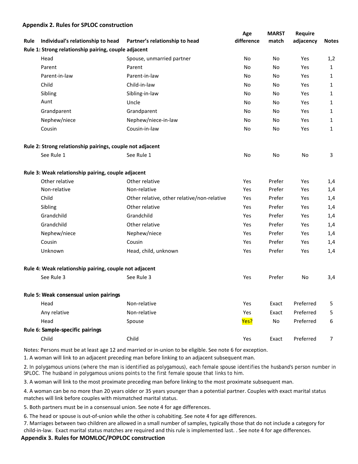#### **Appendix 2. Rules for SPLOC construction**

| Individual's relationship to head<br>Partner's relationship to head<br>difference<br>Rule<br>Rule 1: Strong relationship pairing, couple adjacent<br>Head<br>Spouse, unmarried partner<br>No<br>Parent<br>Parent<br>No | adjacency<br>match<br>No<br>Yes<br>No<br>Yes<br>No<br>Yes<br>No<br>Yes | <b>Notes</b><br>1,2<br>$\mathbf{1}$<br>$\mathbf{1}$ |
|------------------------------------------------------------------------------------------------------------------------------------------------------------------------------------------------------------------------|------------------------------------------------------------------------|-----------------------------------------------------|
|                                                                                                                                                                                                                        |                                                                        |                                                     |
|                                                                                                                                                                                                                        |                                                                        |                                                     |
|                                                                                                                                                                                                                        |                                                                        |                                                     |
|                                                                                                                                                                                                                        |                                                                        |                                                     |
| Parent-in-law<br>Parent-in-law<br>No                                                                                                                                                                                   |                                                                        |                                                     |
| Child-in-law<br>Child<br>No                                                                                                                                                                                            |                                                                        | 1                                                   |
| Sibling<br>Sibling-in-law<br>No                                                                                                                                                                                        | No<br>Yes                                                              | $\mathbf{1}$                                        |
| Aunt<br>Uncle<br>No                                                                                                                                                                                                    | No<br>Yes                                                              | $\mathbf{1}$                                        |
| Grandparent<br>Grandparent<br>No                                                                                                                                                                                       | No<br>Yes                                                              | $\mathbf{1}$                                        |
| Nephew/niece<br>Nephew/niece-in-law<br>No                                                                                                                                                                              | No<br>Yes                                                              | 1                                                   |
| Cousin-in-law<br>Cousin<br>No                                                                                                                                                                                          | No<br>Yes                                                              | $\mathbf{1}$                                        |
| Rule 2: Strong relationship pairings, couple not adjacent                                                                                                                                                              |                                                                        |                                                     |
| See Rule 1<br>See Rule 1<br>No                                                                                                                                                                                         | No<br>No                                                               | 3                                                   |
| Rule 3: Weak relationship pairing, couple adjacent                                                                                                                                                                     |                                                                        |                                                     |
| Other relative<br>Other relative<br>Yes                                                                                                                                                                                | Prefer<br>Yes                                                          | 1,4                                                 |
| Non-relative<br>Non-relative<br>Yes                                                                                                                                                                                    | Prefer<br>Yes                                                          | 1,4                                                 |
| Child<br>Other relative, other relative/non-relative<br>Yes                                                                                                                                                            | Prefer<br>Yes                                                          | 1,4                                                 |
| Sibling<br>Other relative<br>Yes                                                                                                                                                                                       | Prefer<br>Yes                                                          | 1,4                                                 |
| Grandchild<br>Grandchild<br>Yes                                                                                                                                                                                        | Prefer<br>Yes                                                          | 1,4                                                 |
| Grandchild<br>Other relative<br>Yes                                                                                                                                                                                    | Prefer<br>Yes                                                          | 1,4                                                 |
| Nephew/niece<br>Nephew/niece<br>Yes                                                                                                                                                                                    | Prefer<br>Yes                                                          | 1,4                                                 |
| Cousin<br>Cousin<br>Yes                                                                                                                                                                                                | Prefer<br>Yes                                                          | 1,4                                                 |
| Unknown<br>Head, child, unknown<br>Yes                                                                                                                                                                                 | Prefer<br>Yes                                                          | 1,4                                                 |
| Rule 4: Weak relationship pairing, couple not adjacent                                                                                                                                                                 |                                                                        |                                                     |
| See Rule 3<br>See Rule 3<br>Yes                                                                                                                                                                                        | Prefer<br>No                                                           | 3,4                                                 |
| Rule 5: Weak consensual union pairings                                                                                                                                                                                 |                                                                        |                                                     |
| Non-relative<br>Yes<br>Head                                                                                                                                                                                            | Preferred<br>Exact                                                     | 5                                                   |
| Any relative<br>Non-relative<br>Yes                                                                                                                                                                                    | Preferred<br>Exact                                                     | 5                                                   |
| Yes?<br>Head<br>Spouse                                                                                                                                                                                                 | No<br>Preferred                                                        | 6                                                   |
| Rule 6: Sample-specific pairings                                                                                                                                                                                       |                                                                        |                                                     |
| Child<br>Child<br>Yes                                                                                                                                                                                                  | Preferred<br>Exact                                                     | 7                                                   |

Notes: Persons must be at least age 12 and married or in-union to be eligible. See note 6 for exception.

1. A woman will link to an adjacent preceding man before linking to an adjacent subsequent man.

2. In polygamous unions (where the man is identified as polygamous), each female spouse identifies the husband's person number in SPLOC. The husband in polygamous unions points to the first female spouse that links to him.

3. A woman will link to the most proximate preceding man before linking to the most proximate subsequent man.

4. A woman can be no more than 20 years older or 35 years younger than a potential partner. Couples with exact marital status matches will link before couples with mismatched marital status.

5. Both partners must be in a consensual union. See note 4 for age differences.

6. The head or spouse is out-of-union while the other is cohabiting. See note 4 for age differences.

7. Marriages between two children are allowed in a small number of samples, typically those that do not include a category for child-in-law. Exact marital status matches are required and this rule is implemented last. . See note 4 for age differences.

#### **Appendix 3. Rules for MOMLOC/POPLOC construction**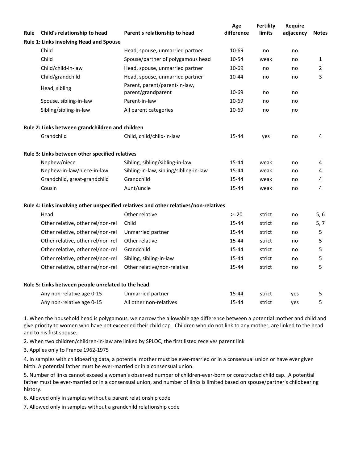| Rule | Child's relationship to head                       | Parent's relationship to head                                                         | Age<br>difference | <b>Fertility</b><br>limits | Require<br>adjacency | <b>Notes</b> |
|------|----------------------------------------------------|---------------------------------------------------------------------------------------|-------------------|----------------------------|----------------------|--------------|
|      | Rule 1: Links involving Head and Spouse            |                                                                                       |                   |                            |                      |              |
|      | Child                                              | Head, spouse, unmarried partner                                                       | 10-69             | no                         | no                   |              |
|      | Child                                              | Spouse/partner of polygamous head                                                     | 10-54             | weak                       | no                   | 1            |
|      | Child/child-in-law                                 | Head, spouse, unmarried partner                                                       | 10-69             | no                         | no                   | 2            |
|      | Child/grandchild                                   | Head, spouse, unmarried partner                                                       | 10-44             | no                         | no                   | 3            |
|      | Head, sibling                                      | Parent, parent/parent-in-law,<br>parent/grandparent                                   | 10-69             | no                         | no                   |              |
|      | Spouse, sibling-in-law                             | Parent-in-law                                                                         | 10-69             | no                         | no                   |              |
|      | Sibling/sibling-in-law                             | All parent categories                                                                 | 10-69             | no                         | no                   |              |
|      | Rule 2: Links between grandchildren and children   |                                                                                       |                   |                            |                      |              |
|      | Grandchild                                         | Child, child/child-in-law                                                             | 15-44             | yes                        | no                   | 4            |
|      | Rule 3: Links between other specified relatives    |                                                                                       |                   |                            |                      |              |
|      | Nephew/niece                                       | Sibling, sibling/sibling-in-law                                                       | 15-44             | weak                       | no                   | 4            |
|      | Nephew-in-law/niece-in-law                         | Sibling-in-law, sibling/sibling-in-law                                                | 15-44             | weak                       | no                   | 4            |
|      | Grandchild, great-grandchild                       | Grandchild                                                                            | 15-44             | weak                       | no                   | 4            |
|      | Cousin                                             | Aunt/uncle                                                                            | 15-44             | weak                       | no                   | 4            |
|      |                                                    | Rule 4: Links involving other unspecified relatives and other relatives/non-relatives |                   |                            |                      |              |
|      | Head                                               | Other relative                                                                        | $>=20$            | strict                     | no                   | 5, 6         |
|      | Other relative, other rel/non-rel                  | Child                                                                                 | 15-44             | strict                     | no                   | 5, 7         |
|      | Other relative, other rel/non-rel                  | Unmarried partner                                                                     | 15-44             | strict                     | no                   | 5            |
|      | Other relative, other rel/non-rel                  | Other relative                                                                        | 15-44             | strict                     | no                   | 5            |
|      | Other relative, other rel/non-rel                  | Grandchild                                                                            | 15-44             | strict                     | no                   | 5            |
|      | Other relative, other rel/non-rel                  | Sibling, sibling-in-law                                                               | 15-44             | strict                     | no                   | 5            |
|      | Other relative, other rel/non-rel                  | Other relative/non-relative                                                           | 15-44             | strict                     | no                   | 5            |
|      | Rule 5: Links between people unrelated to the head |                                                                                       |                   |                            |                      |              |
|      | Any non-relative age 0-15                          | Unmarried partner                                                                     | 15-44             | strict                     | yes                  | 5            |
|      | Any non-relative age 0-15                          | All other non-relatives                                                               | 15-44             | strict                     | yes                  | 5            |

1. When the household head is polygamous, we narrow the allowable age difference between a potential mother and child and give priority to women who have not exceeded their child cap. Children who do not link to any mother, are linked to the head and to his first spouse.

2. When two children/children-in-law are linked by SPLOC, the first listed receives parent link

3. Applies only to France 1962-1975

4. In samples with childbearing data, a potential mother must be ever-married or in a consensual union or have ever given birth. A potential father must be ever-married or in a consensual union.

5. Number of links cannot exceed a woman's observed number of children-ever-born or constructed child cap. A potential father must be ever-married or in a consensual union, and number of links is limited based on spouse/partner's childbearing history.

6. Allowed only in samples without a parent relationship code

7. Allowed only in samples without a grandchild relationship code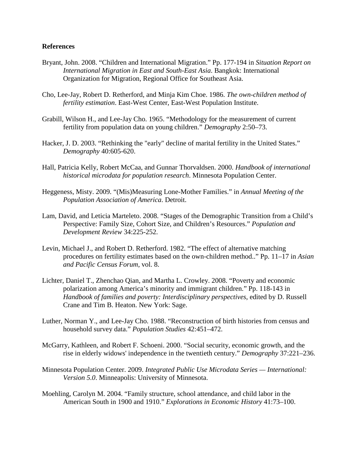# **References**

- Bryant, John. 2008. "Children and International Migration." Pp. 177-194 in *Situation Report on International Migration in East and South-East Asia*. Bangkok: International Organization for Migration, Regional Office for Southeast Asia.
- Cho, Lee-Jay, Robert D. Retherford, and Minja Kim Choe. 1986. *The own-children method of fertility estimation*. East-West Center, East-West Population Institute.
- Grabill, Wilson H., and Lee-Jay Cho. 1965. "Methodology for the measurement of current fertility from population data on young children." *Demography* 2:50–73.
- Hacker, J. D. 2003. "Rethinking the "early" decline of marital fertility in the United States." *Demography* 40:605-620.
- Hall, Patricia Kelly, Robert McCaa, and Gunnar Thorvaldsen. 2000. *Handbook of international historical microdata for population research*. Minnesota Population Center.
- Heggeness, Misty. 2009. "(Mis)Measuring Lone-Mother Families." in *Annual Meeting of the Population Association of America*. Detroit.
- Lam, David, and Leticia Marteleto. 2008. "Stages of the Demographic Transition from a Child's Perspective: Family Size, Cohort Size, and Children's Resources." *Population and Development Review* 34:225-252.
- Levin, Michael J., and Robert D. Retherford. 1982. "The effect of alternative matching procedures on fertility estimates based on the own-children method.." Pp. 11–17 in *Asian and Pacific Census Forum*, vol. 8.
- Lichter, Daniel T., Zhenchao Qian, and Martha L. Crowley. 2008. "Poverty and economic polarization among America's minority and immigrant children." Pp. 118-143 in *Handbook of families and poverty: Interdisciplinary perspectives*, edited by D. Russell Crane and Tim B. Heaton. New York: Sage.
- Luther, Norman Y., and Lee-Jay Cho. 1988. "Reconstruction of birth histories from census and household survey data." *Population Studies* 42:451–472.
- McGarry, Kathleen, and Robert F. Schoeni. 2000. "Social security, economic growth, and the rise in elderly widows' independence in the twentieth century." *Demography* 37:221–236.
- Minnesota Population Center. 2009. *Integrated Public Use Microdata Series — International: Version 5.0*. Minneapolis: University of Minnesota.
- Moehling, Carolyn M. 2004. "Family structure, school attendance, and child labor in the American South in 1900 and 1910." *Explorations in Economic History* 41:73–100.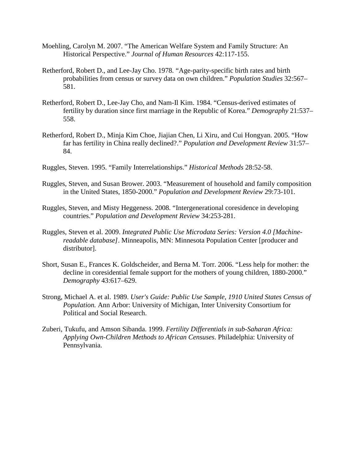- Moehling, Carolyn M. 2007. "The American Welfare System and Family Structure: An Historical Perspective." *Journal of Human Resources* 42:117-155.
- Retherford, Robert D., and Lee-Jay Cho. 1978. "Age-parity-specific birth rates and birth probabilities from census or survey data on own children." *Population Studies* 32:567– 581.
- Retherford, Robert D., Lee-Jay Cho, and Nam-Il Kim. 1984. "Census-derived estimates of fertility by duration since first marriage in the Republic of Korea." *Demography* 21:537– 558.
- Retherford, Robert D., Minja Kim Choe, Jiajian Chen, Li Xiru, and Cui Hongyan. 2005. "How far has fertility in China really declined?." *Population and Development Review* 31:57– 84.
- Ruggles, Steven. 1995. "Family Interrelationships." *Historical Methods* 28:52-58.
- Ruggles, Steven, and Susan Brower. 2003. "Measurement of household and family composition in the United States, 1850-2000." *Population and Development Review* 29:73-101.
- Ruggles, Steven, and Misty Heggeness. 2008. "Intergenerational coresidence in developing countries." *Population and Development Review* 34:253-281.
- Ruggles, Steven et al. 2009. *Integrated Public Use Microdata Series: Version 4.0 [Machinereadable database]*. Minneapolis, MN: Minnesota Population Center [producer and distributor].
- Short, Susan E., Frances K. Goldscheider, and Berna M. Torr. 2006. "Less help for mother: the decline in coresidential female support for the mothers of young children, 1880-2000." *Demography* 43:617–629.
- Strong, Michael A. et al. 1989. *User's Guide: Public Use Sample, 1910 United States Census of Population.* Ann Arbor: University of Michigan, Inter University Consortium for Political and Social Research.
- Zuberi, Tukufu, and Amson Sibanda. 1999. *Fertility Differentials in sub-Saharan Africa: Applying Own-Children Methods to African Censuses*. Philadelphia: University of Pennsylvania.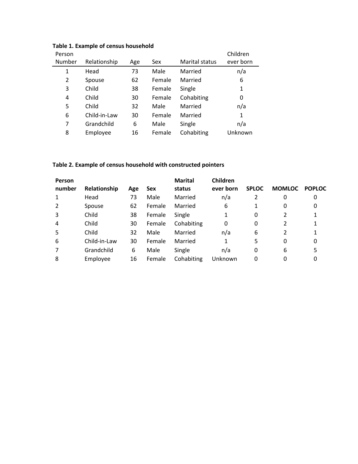| Person |              |     |            |                | Children  |
|--------|--------------|-----|------------|----------------|-----------|
| Number | Relationship | Age | <b>Sex</b> | Marital status | ever born |
| 1      | Head         | 73  | Male       | Married        | n/a       |
| 2      | Spouse       | 62  | Female     | Married        | 6         |
| 3      | Child        | 38  | Female     | Single         | 1         |
| 4      | Child        | 30  | Female     | Cohabiting     | 0         |
| 5      | Child        | 32  | Male       | Married        | n/a       |
| 6      | Child-in-Law | 30  | Female     | Married        | 1         |
| 7      | Grandchild   | 6   | Male       | Single         | n/a       |
| 8      | Employee     | 16  | Female     | Cohabiting     | Unknown   |

# **Table 1. Example of census household**

# **Table 2. Example of census household with constructed pointers**

| Person         |              |     |        | <b>Marital</b> | Children  |              |               |               |
|----------------|--------------|-----|--------|----------------|-----------|--------------|---------------|---------------|
| number         | Relationship | Age | Sex    | status         | ever born | <b>SPLOC</b> | <b>MOMLOC</b> | <b>POPLOC</b> |
| $\mathbf{1}$   | Head         | 73  | Male   | Married        | n/a       | 2            | 0             | 0             |
| $\overline{2}$ | Spouse       | 62  | Female | Married        | 6         | 1            | 0             | 0             |
| 3              | Child        | 38  | Female | Single         |           | 0            |               |               |
| $\overline{4}$ | Child        | 30  | Female | Cohabiting     | 0         | 0            |               |               |
| 5              | Child        | 32  | Male   | Married        | n/a       | 6            |               |               |
| 6              | Child-in-Law | 30  | Female | Married        | 1         | 5            | 0             | 0             |
| 7              | Grandchild   | 6   | Male   | Single         | n/a       | 0            | 6             | 5             |
| 8              | Employee     | 16  | Female | Cohabiting     | Unknown   | 0            |               | 0             |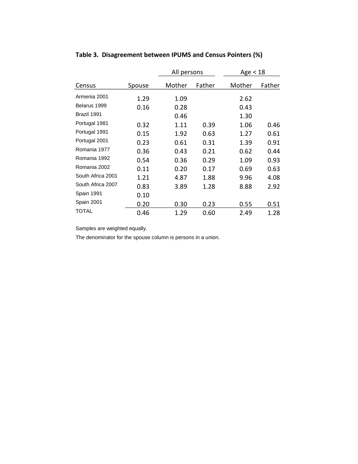|                   |        | All persons |        | Age $<$ 18 |        |
|-------------------|--------|-------------|--------|------------|--------|
| Census            | Spouse | Mother      | Father | Mother     | Father |
| Armenia 2001      | 1.29   | 1.09        |        | 2.62       |        |
| Belarus 1999      | 0.16   | 0.28        |        | 0.43       |        |
| Brazil 1991       |        | 0.46        |        | 1.30       |        |
| Portugal 1981     | 0.32   | 1.11        | 0.39   | 1.06       | 0.46   |
| Portugal 1991     | 0.15   | 1.92        | 0.63   | 1.27       | 0.61   |
| Portugal 2001     | 0.23   | 0.61        | 0.31   | 1.39       | 0.91   |
| Romania 1977      | 0.36   | 0.43        | 0.21   | 0.62       | 0.44   |
| Romania 1992      | 0.54   | 0.36        | 0.29   | 1.09       | 0.93   |
| Romania 2002      | 0.11   | 0.20        | 0.17   | 0.69       | 0.63   |
| South Africa 2001 | 1.21   | 4.87        | 1.88   | 9.96       | 4.08   |
| South Africa 2007 | 0.83   | 3.89        | 1.28   | 8.88       | 2.92   |
| Spain 1991        | 0.10   |             |        |            |        |
| Spain 2001        | 0.20   | 0.30        | 0.23   | 0.55       | 0.51   |
| TOTAL             | 0.46   | 1.29        | 0.60   | 2.49       | 1.28   |

# **Table 3. Disagreement between IPUMS and Census Pointers (%)**

Samples are weighted equally.

The denominator for the spouse column is persons in a union.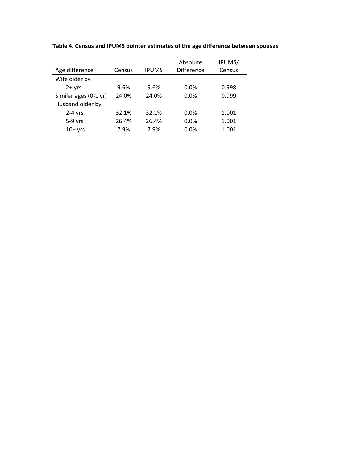|                       |        |              | Absolute          | IPUMS/ |
|-----------------------|--------|--------------|-------------------|--------|
| Age difference        | Census | <b>IPUMS</b> | <b>Difference</b> | Census |
| Wife older by         |        |              |                   |        |
| $2 + yrs$             | 9.6%   | 9.6%         | $0.0\%$           | 0.998  |
| Similar ages (0-1 yr) | 24.0%  | 24.0%        | 0.0%              | 0.999  |
| Husband older by      |        |              |                   |        |
| $2-4$ yrs             | 32.1%  | 32.1%        | 0.0%              | 1.001  |
| $5-9$ yrs             | 26.4%  | 26.4%        | 0.0%              | 1.001  |
| $10+$ yrs             | 7.9%   | 7.9%         | 0.0%              | 1.001  |

**Table 4. Census and IPUMS pointer estimates of the age difference between spouses**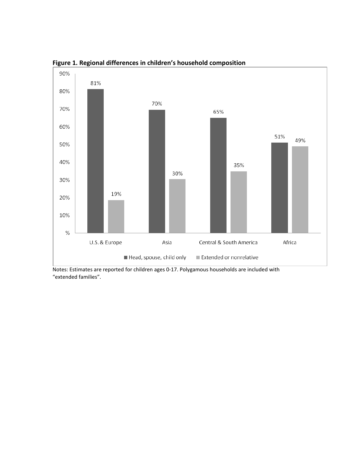

**Figure 1. Regional differences in children's household composition**

Notes: Estimates are reported for children ages 0-17. Polygamous households are included with "extended families".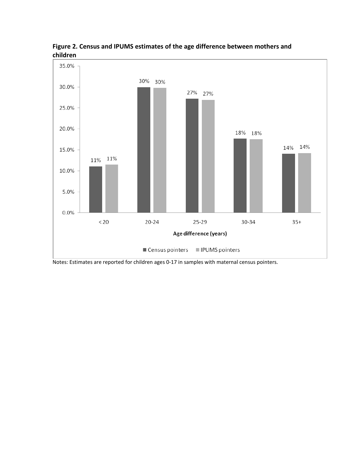



Notes: Estimates are reported for children ages 0-17 in samples with maternal census pointers.